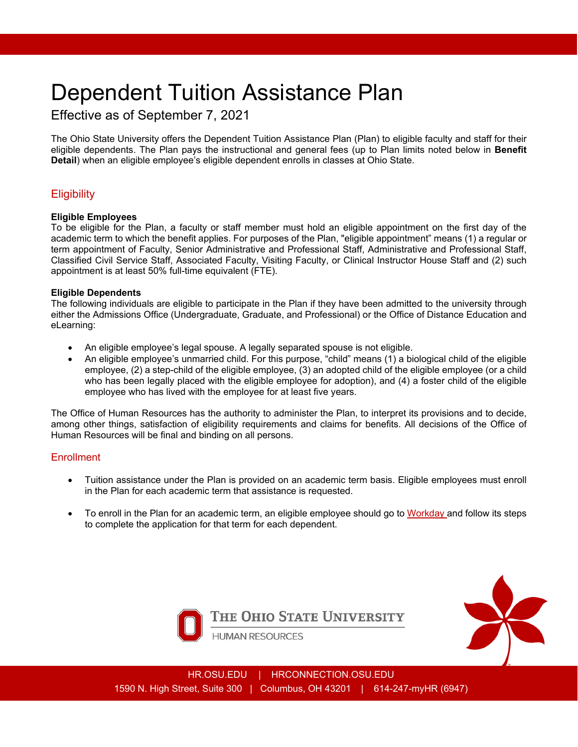# Dependent Tuition Assistance Plan

## Effective as of September 7, 2021

The Ohio State University offers the Dependent Tuition Assistance Plan (Plan) to eligible faculty and staff for their eligible dependents. The Plan pays the instructional and general fees (up to Plan limits noted below in **Benefit Detail**) when an eligible employee's eligible dependent enrolls in classes at Ohio State.

### **Eligibility**

#### **Eligible Employees**

To be eligible for the Plan, a faculty or staff member must hold an eligible appointment on the first day of the academic term to which the benefit applies. For purposes of the Plan, "eligible appointment" means (1) a regular or term appointment of Faculty, Senior Administrative and Professional Staff, Administrative and Professional Staff, Classified Civil Service Staff, Associated Faculty, Visiting Faculty, or Clinical Instructor House Staff and (2) such appointment is at least 50% full-time equivalent (FTE).

#### **Eligible Dependents**

The following individuals are eligible to participate in the Plan if they have been admitted to the university through either the Admissions Office (Undergraduate, Graduate, and Professional) or the Office of Distance Education and eLearning:

- An eligible employee's legal spouse. A legally separated spouse is not eligible.
- An eligible employee's unmarried child. For this purpose, "child" means (1) a biological child of the eligible employee, (2) a step-child of the eligible employee, (3) an adopted child of the eligible employee (or a child who has been legally placed with the eligible employee for adoption), and (4) a foster child of the eligible employee who has lived with the employee for at least five years.

The Office of Human Resources has the authority to administer the Plan, to interpret its provisions and to decide, among other things, satisfaction of eligibility requirements and claims for benefits. All decisions of the Office of Human Resources will be final and binding on all persons.

#### **Enrollment**

- Tuition assistance under the Plan is provided on an academic term basis. Eligible employees must enroll in the Plan for each academic term that assistance is requested.
- To enroll in the Plan for an academic term, an eligible employee should go to [Workday a](https://workday.osu.edu/)nd follow its steps to complete the application for that term for each dependent.



The Ohio State University



**HUMAN RESOURCES**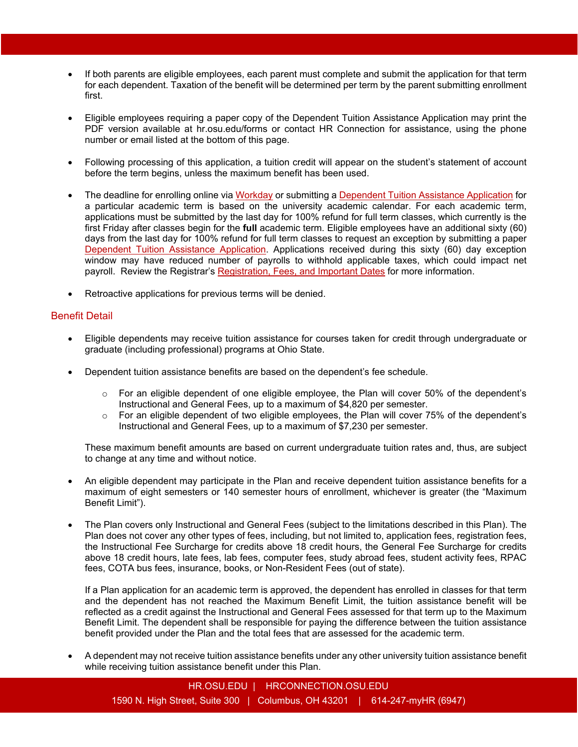- If both parents are eligible employees, each parent must complete and submit the application for that term for each dependent. Taxation of the benefit will be determined per term by the parent submitting enrollment first.
- Eligible employees requiring a paper copy of the Dependent Tuition Assistance Application may print the PDF version available at hr.osu.edu/forms or contact HR Connection for assistance, using the phone number or email listed at the bottom of this page.
- Following processing of this application, a tuition credit will appear on the student's statement of account before the term begins, unless the maximum benefit has been used.
- The deadline for enrolling online via Workday or submitting a [Dependent Tuition Assistance Application](https://hr.osu.edu/wp-content/uploads/form-tuition-assistance-dependent.pdf) for a particular academic term is based on the university academic calendar. For each academic term, applications must be submitted by the last day for 100% refund for full term classes, which currently is the first Friday after classes begin for the **full** academic term. Eligible employees have an additional sixty (60) days from the last day for 100% refund for full term classes to request an exception by submitting a paper [Dependent Tuition Assistance Application.](https://hr.osu.edu/wp-content/uploads/form-tuition-assistance-dependent.pdf) Applications received during this sixty (60) day exception window may have reduced number of payrolls to withhold applicable taxes, which could impact net payroll. Review the Registrar's [Registration, Fees, and Important Dates](https://registrar.osu.edu/registration/index.asp) for more information.
- Retroactive applications for previous terms will be denied.

#### Benefit Detail

- Eligible dependents may receive tuition assistance for courses taken for credit through undergraduate or graduate (including professional) programs at Ohio State.
- Dependent tuition assistance benefits are based on the dependent's fee schedule.
	- $\circ$  For an eligible dependent of one eligible employee, the Plan will cover 50% of the dependent's Instructional and General Fees, up to a maximum of \$4,820 per semester.
	- o For an eligible dependent of two eligible employees, the Plan will cover 75% of the dependent's Instructional and General Fees, up to a maximum of \$7,230 per semester.

These maximum benefit amounts are based on current undergraduate tuition rates and, thus, are subject to change at any time and without notice.

- An eligible dependent may participate in the Plan and receive dependent tuition assistance benefits for a maximum of eight semesters or 140 semester hours of enrollment, whichever is greater (the "Maximum Benefit Limit").
- The Plan covers only Instructional and General Fees (subject to the limitations described in this Plan). The Plan does not cover any other types of fees, including, but not limited to, application fees, registration fees, the Instructional Fee Surcharge for credits above 18 credit hours, the General Fee Surcharge for credits above 18 credit hours, late fees, lab fees, computer fees, study abroad fees, student activity fees, RPAC fees, COTA bus fees, insurance, books, or Non-Resident Fees (out of state).

If a Plan application for an academic term is approved, the dependent has enrolled in classes for that term and the dependent has not reached the Maximum Benefit Limit, the tuition assistance benefit will be reflected as a credit against the Instructional and General Fees assessed for that term up to the Maximum Benefit Limit. The dependent shall be responsible for paying the difference between the tuition assistance benefit provided under the Plan and the total fees that are assessed for the academic term.

• A dependent may not receive tuition assistance benefits under any other university tuition assistance benefit while receiving tuition assistance benefit under this Plan.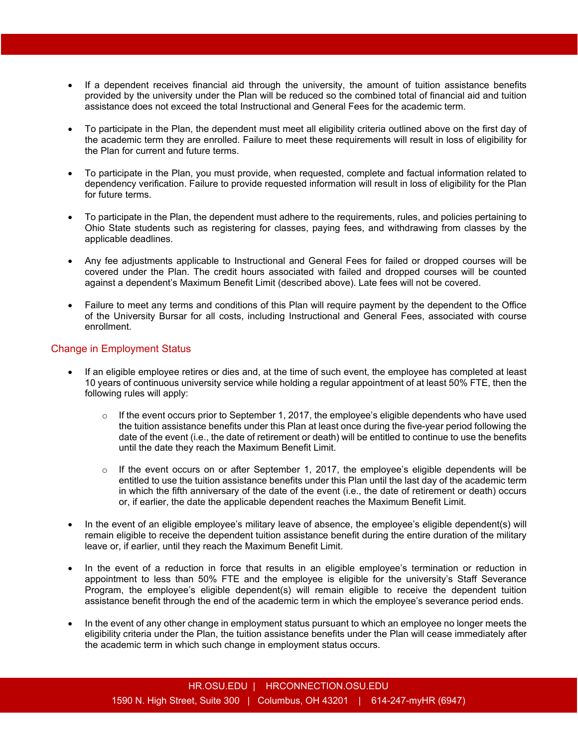- If a dependent receives financial aid through the university, the amount of tuition assistance benefits provided by the university under the Plan will be reduced so the combined total of financial aid and tuition assistance does not exceed the total Instructional and General Fees for the academic term.
- To participate in the Plan, the dependent must meet all eligibility criteria outlined above on the first day of the academic term they are enrolled. Failure to meet these requirements will result in loss of eligibility for the Plan for current and future terms.
- To participate in the Plan, you must provide, when requested, complete and factual information related to dependency verification. Failure to provide requested information will result in loss of eligibility for the Plan for future terms.
- To participate in the Plan, the dependent must adhere to the requirements, rules, and policies pertaining to Ohio State students such as registering for classes, paying fees, and withdrawing from classes by the applicable deadlines.
- Any fee adjustments applicable to Instructional and General Fees for failed or dropped courses will be covered under the Plan. The credit hours associated with failed and dropped courses will be counted against a dependent's Maximum Benefit Limit (described above). Late fees will not be covered.
- Failure to meet any terms and conditions of this Plan will require payment by the dependent to the Office of the University Bursar for all costs, including Instructional and General Fees, associated with course enrollment.

#### Change in Employment Status

- If an eligible employee retires or dies and, at the time of such event, the employee has completed at least 10 years of continuous university service while holding a regular appointment of at least 50% FTE, then the following rules will apply:
	- $\circ$  If the event occurs prior to September 1, 2017, the employee's eligible dependents who have used the tuition assistance benefits under this Plan at least once during the five-year period following the date of the event (i.e., the date of retirement or death) will be entitled to continue to use the benefits until the date they reach the Maximum Benefit Limit.
	- $\circ$  If the event occurs on or after September 1, 2017, the employee's eligible dependents will be entitled to use the tuition assistance benefits under this Plan until the last day of the academic term in which the fifth anniversary of the date of the event (i.e., the date of retirement or death) occurs or, if earlier, the date the applicable dependent reaches the Maximum Benefit Limit.
- In the event of an eligible employee's military leave of absence, the employee's eligible dependent(s) will remain eligible to receive the dependent tuition assistance benefit during the entire duration of the military leave or, if earlier, until they reach the Maximum Benefit Limit.
- In the event of a reduction in force that results in an eligible employee's termination or reduction in appointment to less than 50% FTE and the employee is eligible for the university's Staff Severance Program, the employee's eligible dependent(s) will remain eligible to receive the dependent tuition assistance benefit through the end of the academic term in which the employee's severance period ends.
- In the event of any other change in employment status pursuant to which an employee no longer meets the eligibility criteria under the Plan, the tuition assistance benefits under the Plan will cease immediately after the academic term in which such change in employment status occurs.